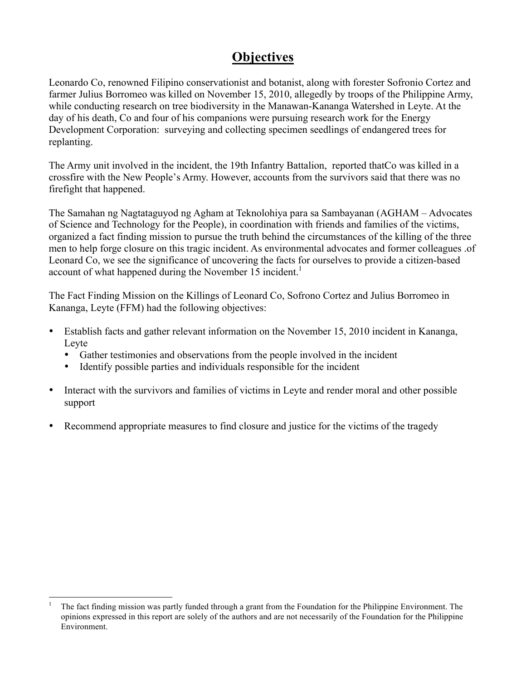# **Objectives**

Leonardo Co, renowned Filipino conservationist and botanist, along with forester Sofronio Cortez and farmer Julius Borromeo was killed on November 15, 2010, allegedly by troops of the Philippine Army, while conducting research on tree biodiversity in the Manawan-Kananga Watershed in Leyte. At the day of his death, Co and four of his companions were pursuing research work for the Energy Development Corporation: surveying and collecting specimen seedlings of endangered trees for replanting.

The Army unit involved in the incident, the 19th Infantry Battalion, reported thatCo was killed in a crossfire with the New People's Army. However, accounts from the survivors said that there was no firefight that happened.

The Samahan ng Nagtataguyod ng Agham at Teknolohiya para sa Sambayanan (AGHAM – Advocates of Science and Technology for the People), in coordination with friends and families of the victims, organized a fact finding mission to pursue the truth behind the circumstances of the killing of the three men to help forge closure on this tragic incident. As environmental advocates and former colleagues .of Leonard Co, we see the significance of uncovering the facts for ourselves to provide a citizen-based account of what happened during the November 15 incident.<sup>1</sup>

The Fact Finding Mission on the Killings of Leonard Co, Sofrono Cortez and Julius Borromeo in Kananga, Leyte (FFM) had the following objectives:

- Establish facts and gather relevant information on the November 15, 2010 incident in Kananga, Leyte
	- Gather testimonies and observations from the people involved in the incident
	- Identify possible parties and individuals responsible for the incident
- Interact with the survivors and families of victims in Leyte and render moral and other possible support
- Recommend appropriate measures to find closure and justice for the victims of the tragedy

 <sup>1</sup> The fact finding mission was partly funded through a grant from the Foundation for the Philippine Environment. The opinions expressed in this report are solely of the authors and are not necessarily of the Foundation for the Philippine Environment.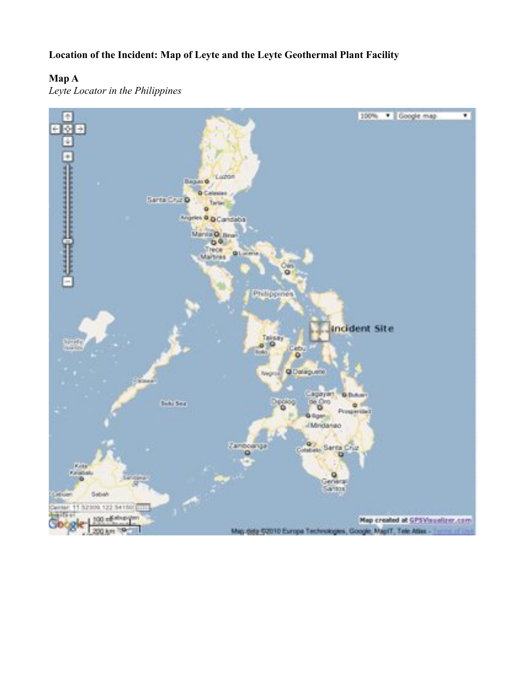**Location of the Incident: Map of Leyte and the Leyte Geothermal Plant Facility**

## **Map A**

*Leyte Locator in the Philippines*

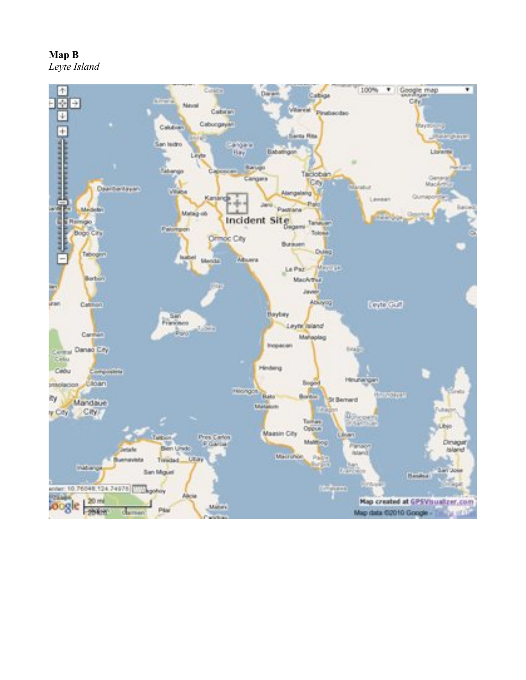**Map B**



*Leyte Island*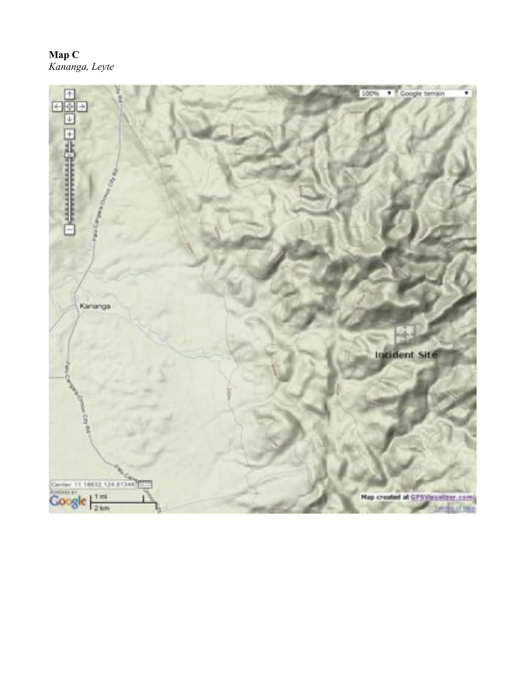## **Map C** *Kananga, Leyte*

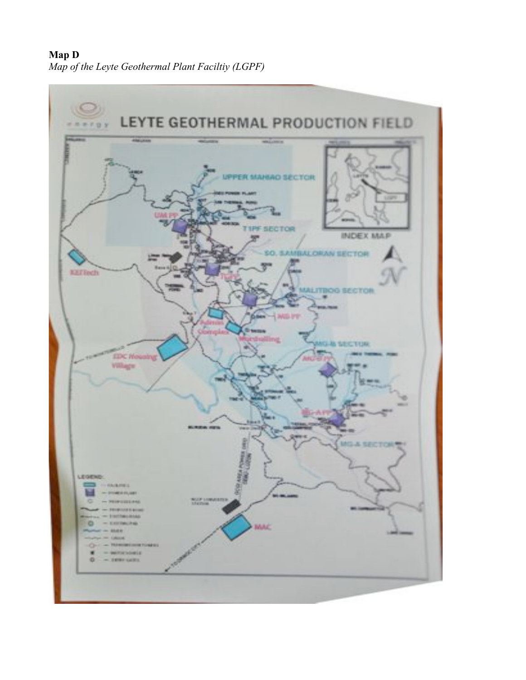## **Map D** *Map of the Leyte Geothermal Plant Faciltiy (LGPF)*

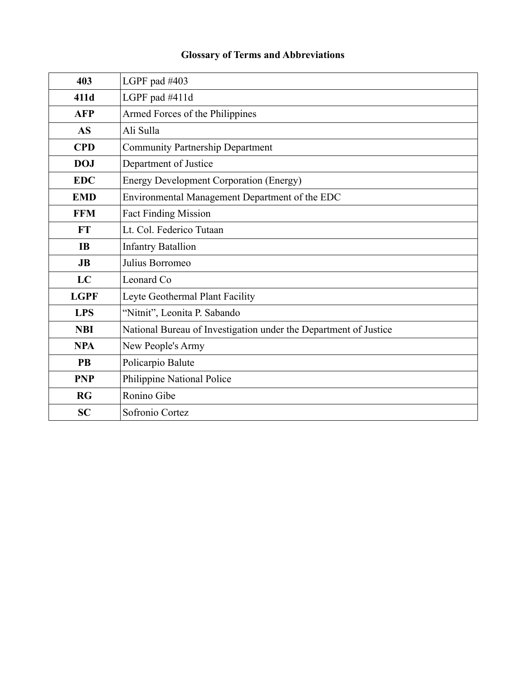## **Glossary of Terms and Abbreviations**

| 403         | LGPF pad #403                                                    |
|-------------|------------------------------------------------------------------|
| 411d        | LGPF pad #411d                                                   |
| <b>AFP</b>  | Armed Forces of the Philippines                                  |
| <b>AS</b>   | Ali Sulla                                                        |
| <b>CPD</b>  | <b>Community Partnership Department</b>                          |
| <b>DOJ</b>  | Department of Justice                                            |
| <b>EDC</b>  | <b>Energy Development Corporation (Energy)</b>                   |
| <b>EMD</b>  | Environmental Management Department of the EDC                   |
| <b>FFM</b>  | <b>Fact Finding Mission</b>                                      |
| <b>FT</b>   | Lt. Col. Federico Tutaan                                         |
| <b>IB</b>   | <b>Infantry Batallion</b>                                        |
| JB          | Julius Borromeo                                                  |
| LC          | Leonard Co                                                       |
| <b>LGPF</b> | Leyte Geothermal Plant Facility                                  |
| <b>LPS</b>  | "Nitnit", Leonita P. Sabando                                     |
| <b>NBI</b>  | National Bureau of Investigation under the Department of Justice |
| <b>NPA</b>  | New People's Army                                                |
| <b>PB</b>   | Policarpio Balute                                                |
| <b>PNP</b>  | Philippine National Police                                       |
| <b>RG</b>   | Ronino Gibe                                                      |
| <b>SC</b>   | Sofronio Cortez                                                  |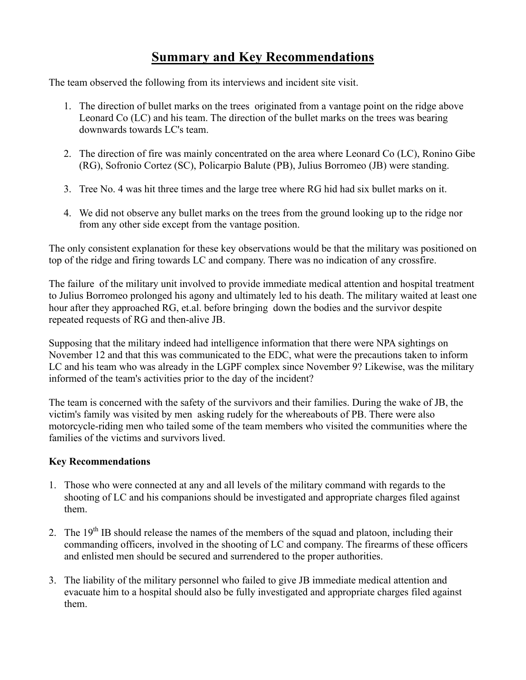# **Summary and Key Recommendations**

The team observed the following from its interviews and incident site visit.

- 1. The direction of bullet marks on the trees originated from a vantage point on the ridge above Leonard Co (LC) and his team. The direction of the bullet marks on the trees was bearing downwards towards LC's team.
- 2. The direction of fire was mainly concentrated on the area where Leonard Co (LC), Ronino Gibe (RG), Sofronio Cortez (SC), Policarpio Balute (PB), Julius Borromeo (JB) were standing.
- 3. Tree No. 4 was hit three times and the large tree where RG hid had six bullet marks on it.
- 4. We did not observe any bullet marks on the trees from the ground looking up to the ridge nor from any other side except from the vantage position.

The only consistent explanation for these key observations would be that the military was positioned on top of the ridge and firing towards LC and company. There was no indication of any crossfire.

The failure of the military unit involved to provide immediate medical attention and hospital treatment to Julius Borromeo prolonged his agony and ultimately led to his death. The military waited at least one hour after they approached RG, et.al. before bringing down the bodies and the survivor despite repeated requests of RG and then-alive JB.

Supposing that the military indeed had intelligence information that there were NPA sightings on November 12 and that this was communicated to the EDC, what were the precautions taken to inform LC and his team who was already in the LGPF complex since November 9? Likewise, was the military informed of the team's activities prior to the day of the incident?

The team is concerned with the safety of the survivors and their families. During the wake of JB, the victim's family was visited by men asking rudely for the whereabouts of PB. There were also motorcycle-riding men who tailed some of the team members who visited the communities where the families of the victims and survivors lived.

#### **Key Recommendations**

- 1. Those who were connected at any and all levels of the military command with regards to the shooting of LC and his companions should be investigated and appropriate charges filed against them.
- 2. The  $19<sup>th</sup>$  IB should release the names of the members of the squad and platoon, including their commanding officers, involved in the shooting of LC and company. The firearms of these officers and enlisted men should be secured and surrendered to the proper authorities.
- 3. The liability of the military personnel who failed to give JB immediate medical attention and evacuate him to a hospital should also be fully investigated and appropriate charges filed against them.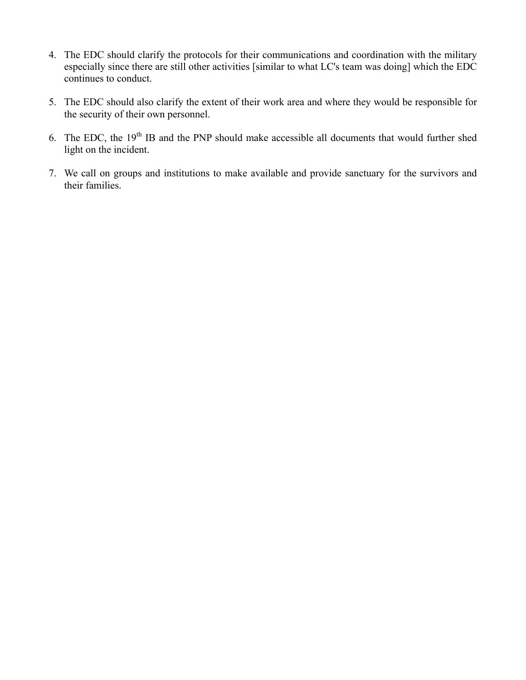- 4. The EDC should clarify the protocols for their communications and coordination with the military especially since there are still other activities [similar to what LC's team was doing] which the EDC continues to conduct.
- 5. The EDC should also clarify the extent of their work area and where they would be responsible for the security of their own personnel.
- 6. The EDC, the  $19<sup>th</sup>$  IB and the PNP should make accessible all documents that would further shed light on the incident.
- 7. We call on groups and institutions to make available and provide sanctuary for the survivors and their families.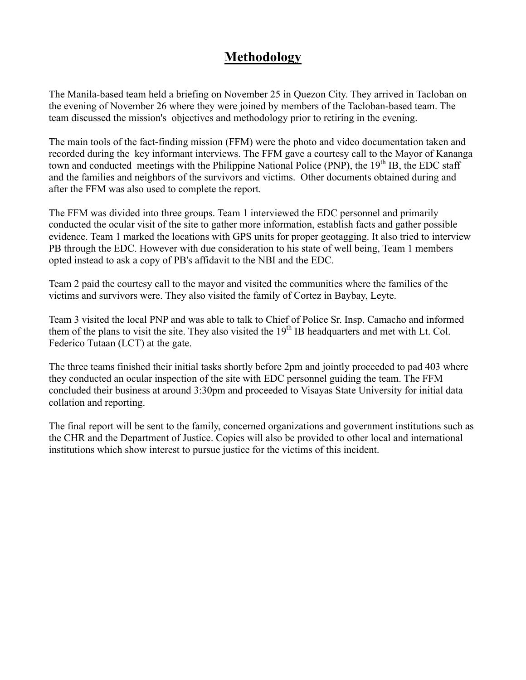# **Methodology**

The Manila-based team held a briefing on November 25 in Quezon City. They arrived in Tacloban on the evening of November 26 where they were joined by members of the Tacloban-based team. The team discussed the mission's objectives and methodology prior to retiring in the evening.

The main tools of the fact-finding mission (FFM) were the photo and video documentation taken and recorded during the key informant interviews. The FFM gave a courtesy call to the Mayor of Kananga town and conducted meetings with the Philippine National Police (PNP), the  $19<sup>th</sup>$  IB, the EDC staff and the families and neighbors of the survivors and victims. Other documents obtained during and after the FFM was also used to complete the report.

The FFM was divided into three groups. Team 1 interviewed the EDC personnel and primarily conducted the ocular visit of the site to gather more information, establish facts and gather possible evidence. Team 1 marked the locations with GPS units for proper geotagging. It also tried to interview PB through the EDC. However with due consideration to his state of well being, Team 1 members opted instead to ask a copy of PB's affidavit to the NBI and the EDC.

Team 2 paid the courtesy call to the mayor and visited the communities where the families of the victims and survivors were. They also visited the family of Cortez in Baybay, Leyte.

Team 3 visited the local PNP and was able to talk to Chief of Police Sr. Insp. Camacho and informed them of the plans to visit the site. They also visited the  $19<sup>th</sup>$  IB headquarters and met with Lt. Col. Federico Tutaan (LCT) at the gate.

The three teams finished their initial tasks shortly before 2pm and jointly proceeded to pad 403 where they conducted an ocular inspection of the site with EDC personnel guiding the team. The FFM concluded their business at around 3:30pm and proceeded to Visayas State University for initial data collation and reporting.

The final report will be sent to the family, concerned organizations and government institutions such as the CHR and the Department of Justice. Copies will also be provided to other local and international institutions which show interest to pursue justice for the victims of this incident.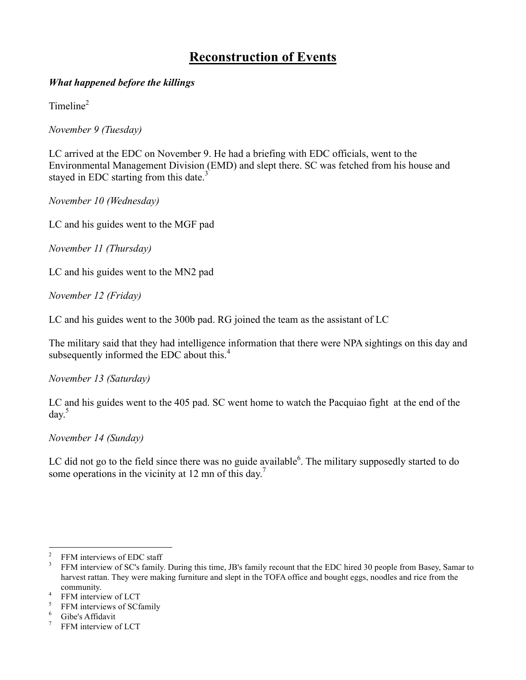# **Reconstruction of Events**

#### *What happened before the killings*

 $Time<sup>2</sup>$ 

*November 9 (Tuesday)*

LC arrived at the EDC on November 9. He had a briefing with EDC officials, went to the Environmental Management Division (EMD) and slept there. SC was fetched from his house and stayed in EDC starting from this date.<sup>3</sup>

*November 10 (Wednesday)*

LC and his guides went to the MGF pad

*November 11 (Thursday)*

LC and his guides went to the MN2 pad

*November 12 (Friday)*

LC and his guides went to the 300b pad. RG joined the team as the assistant of LC

The military said that they had intelligence information that there were NPA sightings on this day and subsequently informed the EDC about this.<sup>4</sup>

*November 13 (Saturday)* 

LC and his guides went to the 405 pad. SC went home to watch the Pacquiao fight at the end of the  $day^5$ 

*November 14 (Sunday)*

LC did not go to the field since there was no guide available $6$ . The military supposedly started to do some operations in the vicinity at 12 mn of this day.<sup>7</sup>

<sup>&</sup>lt;sup>2</sup> FFM interviews of EDC staff<br><sup>3</sup> FFM interview of SC's family. During this time, JB's family recount that the EDC hired 30 people from Basey, Samar to harvest rattan. They were making furniture and slept in the TOFA office and bought eggs, noodles and rice from the

community.<br>
<sup>4</sup> FFM interview of LCT<br>
<sup>5</sup> FFM interviews of SCfamily<br>
<sup>6</sup> Gibe's Affidavit<br>
<sup>7</sup> FFM interview of LCT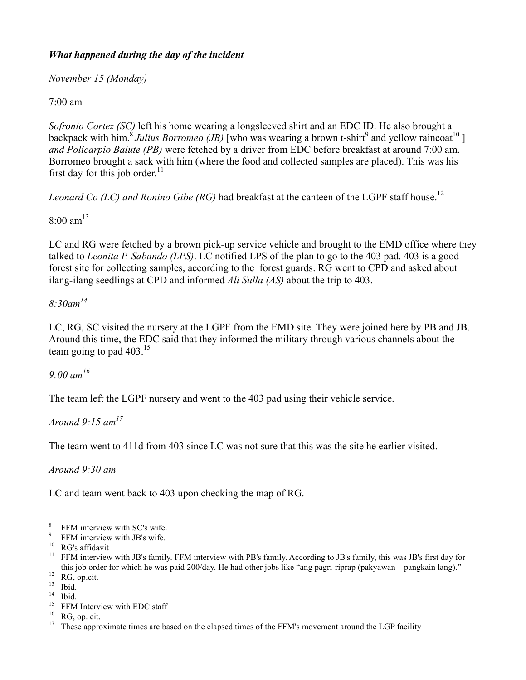### *What happened during the day of the incident*

*November 15 (Monday)*

7:00 am

*Sofronio Cortez (SC)* left his home wearing a longsleeved shirt and an EDC ID. He also brought a backpack with him.<sup>8</sup> Julius Borromeo (JB) who was wearing a brown t-shirt<sup>9</sup> and yellow raincoat<sup>10</sup> l *and Policarpio Balute (PB)* were fetched by a driver from EDC before breakfast at around 7:00 am. Borromeo brought a sack with him (where the food and collected samples are placed). This was his first day for this job order.<sup>11</sup>

*Leonard Co (LC) and Ronino Gibe (RG)* had breakfast at the canteen of the LGPF staff house.<sup>12</sup>

 $8.00 \text{ am}^{13}$ 

LC and RG were fetched by a brown pick-up service vehicle and brought to the EMD office where they talked to *Leonita P. Sabando (LPS)*. LC notified LPS of the plan to go to the 403 pad. 403 is a good forest site for collecting samples, according to the forest guards. RG went to CPD and asked about ilang-ilang seedlings at CPD and informed *Ali Sulla (AS)* about the trip to 403.

#### *8:30am<sup>14</sup>*

LC, RG, SC visited the nursery at the LGPF from the EMD site. They were joined here by PB and JB. Around this time, the EDC said that they informed the military through various channels about the team going to pad  $403^{15}$ 

*9:00 am16*

The team left the LGPF nursery and went to the 403 pad using their vehicle service.

*Around 9:15 am<sup>17</sup>*

The team went to 411d from 403 since LC was not sure that this was the site he earlier visited.

*Around 9:30 am*

LC and team went back to 403 upon checking the map of RG.

<sup>&</sup>lt;sup>8</sup> FFM interview with SC's wife.<br><sup>9</sup> FFM interview with JB's wife.<br><sup>10</sup> RG's affidavit<br><sup>11</sup> FFM interview with JB's family. FFM interview with PB's family. According to JB's family, this was JB's first day for this job order for which he was paid 200/day. He had other jobs like "ang pagri-riprap (pakyawan—pangkain lang)."<br>
<sup>12</sup> RG, op.cit.<br>
<sup>13</sup> Ibid.<br>
<sup>14</sup> Ibid.<br>
<sup>15</sup> FFM Interview with EDC staff<br>
<sup>16</sup> RG, op.cit.<br>
<sup>16</sup> RG, op.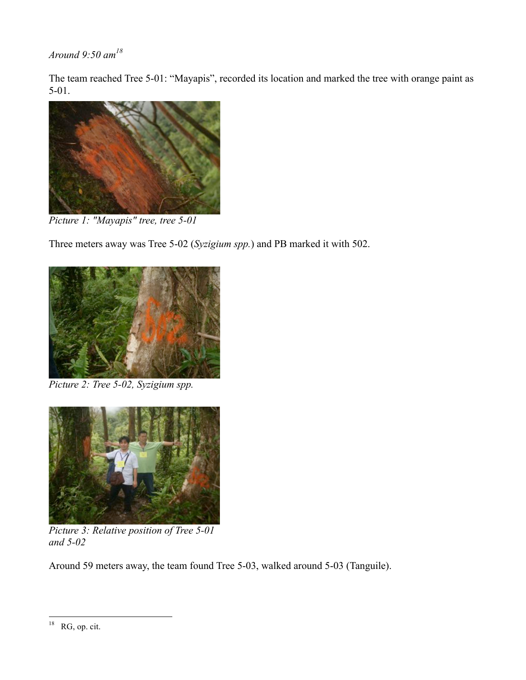*Around 9:50 am<sup>18</sup>*

The team reached Tree 5-01: "Mayapis", recorded its location and marked the tree with orange paint as 5-01.



*Picture 1: "Mayapis" tree, tree 5-01*

Three meters away was Tree 5-02 (*Syzigium spp.*) and PB marked it with 502.



*Picture 2: Tree 5-02, Syzigium spp.*



*Picture 3: Relative position of Tree 5-01 and 5-02*

Around 59 meters away, the team found Tree 5-03, walked around 5-03 (Tanguile).

 $18$  RG, op. cit.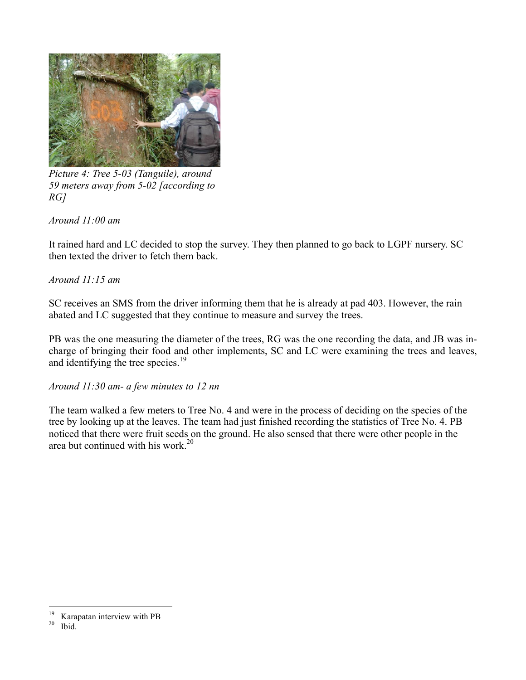

*Picture 4: Tree 5-03 (Tanguile), around 59 meters away from 5-02 [according to RG]*

*Around 11:00 am*

It rained hard and LC decided to stop the survey. They then planned to go back to LGPF nursery. SC then texted the driver to fetch them back.

*Around 11:15 am*

SC receives an SMS from the driver informing them that he is already at pad 403. However, the rain abated and LC suggested that they continue to measure and survey the trees.

PB was the one measuring the diameter of the trees, RG was the one recording the data, and JB was incharge of bringing their food and other implements, SC and LC were examining the trees and leaves, and identifying the tree species. $19$ 

*Around 11:30 am- a few minutes to 12 nn*

The team walked a few meters to Tree No. 4 and were in the process of deciding on the species of the tree by looking up at the leaves. The team had just finished recording the statistics of Tree No. 4. PB noticed that there were fruit seeds on the ground. He also sensed that there were other people in the area but continued with his work. $20$ 

<sup>&</sup>lt;sup>19</sup> Karapatan interview with PB  $^{20}$  Ibid.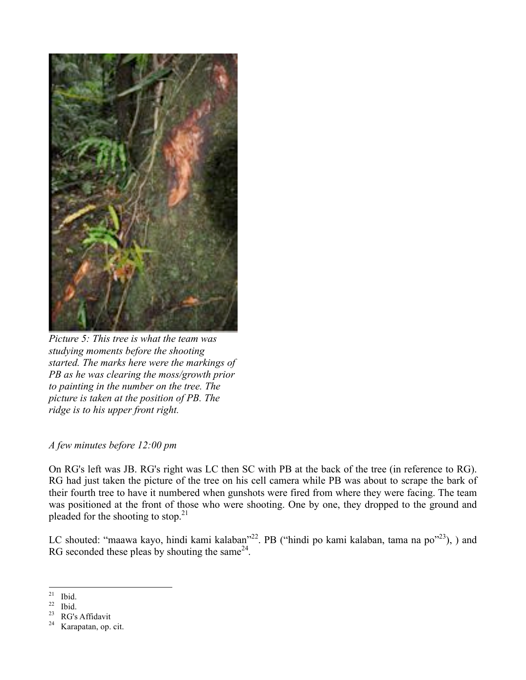

*Picture 5: This tree is what the team was studying moments before the shooting started. The marks here were the markings of PB as he was clearing the moss/growth prior to painting in the number on the tree. The picture is taken at the position of PB. The ridge is to his upper front right.*

#### *A few minutes before 12:00 pm*

On RG's left was JB. RG's right was LC then SC with PB at the back of the tree (in reference to RG). RG had just taken the picture of the tree on his cell camera while PB was about to scrape the bark of their fourth tree to have it numbered when gunshots were fired from where they were facing. The team was positioned at the front of those who were shooting. One by one, they dropped to the ground and pleaded for the shooting to stop. $2<sup>1</sup>$ 

LC shouted: "maawa kayo, hindi kami kalaban"<sup>22</sup>. PB ("hindi po kami kalaban, tama na po"<sup>23</sup>), ) and RG seconded these pleas by shouting the same $^{24}$ .

<sup>&</sup>lt;sup>21</sup> Ibid.<br>
<sup>22</sup> Ibid.<br>
<sup>23</sup> RG's Affidavit<br>
<sup>24</sup> Karapatan, op. cit.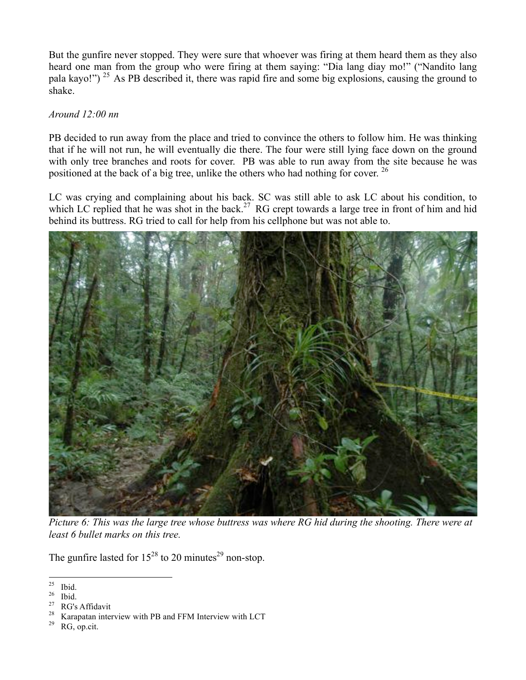But the gunfire never stopped. They were sure that whoever was firing at them heard them as they also heard one man from the group who were firing at them saying: "Dia lang diay mo!" ("Nandito lang pala kayo!") 25 As PB described it, there was rapid fire and some big explosions, causing the ground to shake.

#### *Around 12:00 nn*

PB decided to run away from the place and tried to convince the others to follow him. He was thinking that if he will not run, he will eventually die there. The four were still lying face down on the ground with only tree branches and roots for cover. PB was able to run away from the site because he was positioned at the back of a big tree, unlike the others who had nothing for cover. <sup>26</sup>

LC was crying and complaining about his back. SC was still able to ask LC about his condition, to which LC replied that he was shot in the back.<sup>27</sup> RG crept towards a large tree in front of him and hid behind its buttress. RG tried to call for help from his cellphone but was not able to.



*Picture 6: This was the large tree whose buttress was where RG hid during the shooting. There were at least 6 bullet marks on this tree.*

The gunfire lasted for  $15^{28}$  to 20 minutes<sup>29</sup> non-stop.

<sup>&</sup>lt;sup>25</sup> Ibid.<br><sup>26</sup> Ibid.<br><sup>27</sup> RG's Affidavit<br><sup>28</sup> Karapatan interview with PB and FFM Interview with LCT<br><sup>29</sup> RG, op.cit.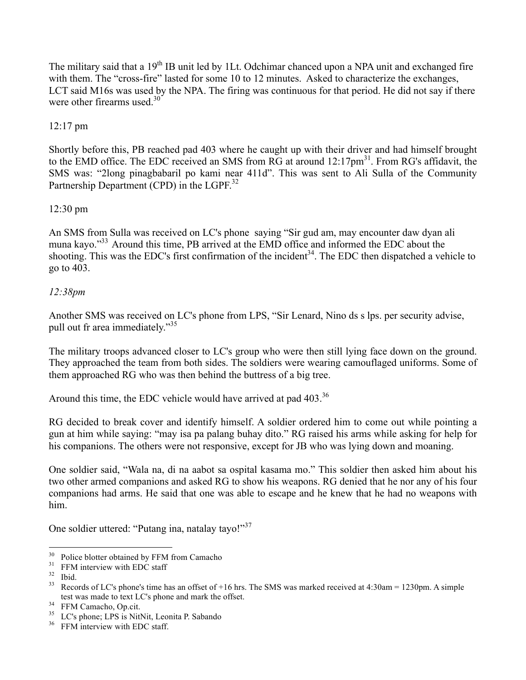The military said that a 19<sup>th</sup> IB unit led by 1Lt. Odchimar chanced upon a NPA unit and exchanged fire with them. The "cross-fire" lasted for some 10 to 12 minutes. Asked to characterize the exchanges, LCT said M16s was used by the NPA. The firing was continuous for that period. He did not say if there were other firearms used  $30$ 

#### 12:17 pm

Shortly before this, PB reached pad 403 where he caught up with their driver and had himself brought to the EMD office. The EDC received an SMS from RG at around 12:17pm<sup>31</sup>. From RG's affidavit, the SMS was: "2long pinagbabaril po kami near 411d". This was sent to Ali Sulla of the Community Partnership Department (CPD) in the LGPF.<sup>32</sup>

#### 12:30 pm

An SMS from Sulla was received on LC's phone saying "Sir gud am, may encounter daw dyan ali muna kayo."<sup>33</sup> Around this time, PB arrived at the EMD office and informed the EDC about the shooting. This was the EDC's first confirmation of the incident<sup>34</sup>. The EDC then dispatched a vehicle to go to 403.

#### *12:38pm*

Another SMS was received on LC's phone from LPS, "Sir Lenard, Nino ds s lps. per security advise, pull out fr area immediately."<sup>35</sup>

The military troops advanced closer to LC's group who were then still lying face down on the ground. They approached the team from both sides. The soldiers were wearing camouflaged uniforms. Some of them approached RG who was then behind the buttress of a big tree.

Around this time, the EDC vehicle would have arrived at pad 403.<sup>36</sup>

RG decided to break cover and identify himself. A soldier ordered him to come out while pointing a gun at him while saying: "may isa pa palang buhay dito." RG raised his arms while asking for help for his companions. The others were not responsive, except for JB who was lying down and moaning.

One soldier said, "Wala na, di na aabot sa ospital kasama mo." This soldier then asked him about his two other armed companions and asked RG to show his weapons. RG denied that he nor any of his four companions had arms. He said that one was able to escape and he knew that he had no weapons with him.

One soldier uttered: "Putang ina, natalay tayo!"<sup>37</sup>

<sup>&</sup>lt;sup>30</sup> Police blotter obtained by FFM from Camacho<br><sup>31</sup> FFM interview with EDC staff<br><sup>32</sup> Ibid.<br><sup>33</sup> Records of LC's phone's time has an offset of +16 hrs. The SMS was marked received at 4:30am = 1230pm. A simple test was made to text LC's phone and mark the offset.<br><sup>34</sup> FFM Camacho, Op.cit.<br><sup>35</sup> LC's phone; LPS is NitNit, Leonita P. Sabando<br><sup>36</sup> FFM interview with EDC staff.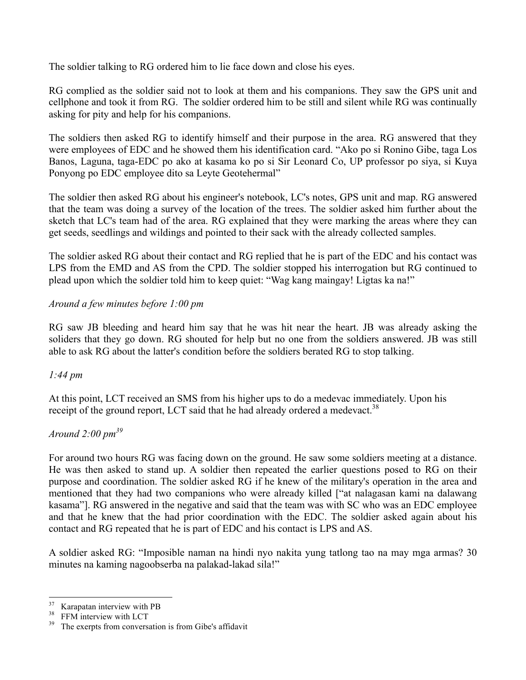The soldier talking to RG ordered him to lie face down and close his eyes.

RG complied as the soldier said not to look at them and his companions. They saw the GPS unit and cellphone and took it from RG. The soldier ordered him to be still and silent while RG was continually asking for pity and help for his companions.

The soldiers then asked RG to identify himself and their purpose in the area. RG answered that they were employees of EDC and he showed them his identification card. "Ako po si Ronino Gibe, taga Los Banos, Laguna, taga-EDC po ako at kasama ko po si Sir Leonard Co, UP professor po siya, si Kuya Ponyong po EDC employee dito sa Leyte Geotehermal"

The soldier then asked RG about his engineer's notebook, LC's notes, GPS unit and map. RG answered that the team was doing a survey of the location of the trees. The soldier asked him further about the sketch that LC's team had of the area. RG explained that they were marking the areas where they can get seeds, seedlings and wildings and pointed to their sack with the already collected samples.

The soldier asked RG about their contact and RG replied that he is part of the EDC and his contact was LPS from the EMD and AS from the CPD. The soldier stopped his interrogation but RG continued to plead upon which the soldier told him to keep quiet: "Wag kang maingay! Ligtas ka na!"

#### *Around a few minutes before 1:00 pm*

RG saw JB bleeding and heard him say that he was hit near the heart. JB was already asking the soliders that they go down. RG shouted for help but no one from the soldiers answered. JB was still able to ask RG about the latter's condition before the soldiers berated RG to stop talking.

### *1:44 pm*

At this point, LCT received an SMS from his higher ups to do a medevac immediately. Upon his receipt of the ground report, LCT said that he had already ordered a medevact.<sup>38</sup>

### *Around 2:00 pm<sup>39</sup>*

For around two hours RG was facing down on the ground. He saw some soldiers meeting at a distance. He was then asked to stand up. A soldier then repeated the earlier questions posed to RG on their purpose and coordination. The soldier asked RG if he knew of the military's operation in the area and mentioned that they had two companions who were already killed ["at nalagasan kami na dalawang kasama"]. RG answered in the negative and said that the team was with SC who was an EDC employee and that he knew that the had prior coordination with the EDC. The soldier asked again about his contact and RG repeated that he is part of EDC and his contact is LPS and AS.

A soldier asked RG: "Imposible naman na hindi nyo nakita yung tatlong tao na may mga armas? 30 minutes na kaming nagoobserba na palakad-lakad sila!"

<sup>&</sup>lt;sup>37</sup> Karapatan interview with PB<br><sup>38</sup> FFM interview with LCT<br><sup>39</sup> The exerpts from conversation is from Gibe's affidavit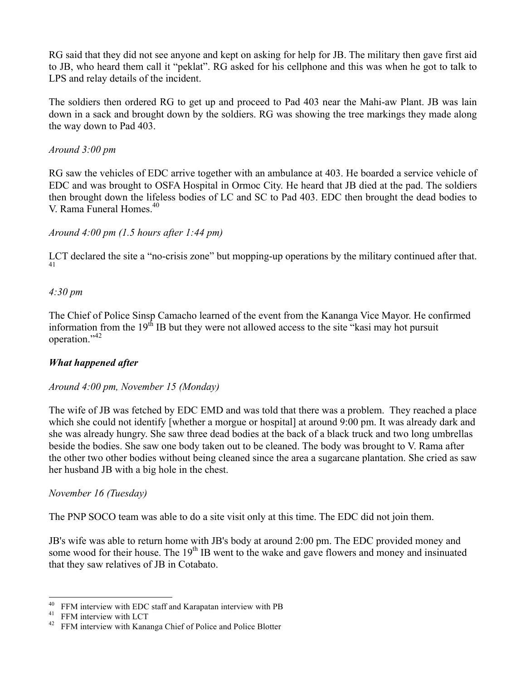RG said that they did not see anyone and kept on asking for help for JB. The military then gave first aid to JB, who heard them call it "peklat". RG asked for his cellphone and this was when he got to talk to LPS and relay details of the incident.

The soldiers then ordered RG to get up and proceed to Pad 403 near the Mahi-aw Plant. JB was lain down in a sack and brought down by the soldiers. RG was showing the tree markings they made along the way down to Pad 403.

#### *Around 3:00 pm*

RG saw the vehicles of EDC arrive together with an ambulance at 403. He boarded a service vehicle of EDC and was brought to OSFA Hospital in Ormoc City. He heard that JB died at the pad. The soldiers then brought down the lifeless bodies of LC and SC to Pad 403. EDC then brought the dead bodies to V. Rama Funeral Homes.40

#### *Around 4:00 pm (1.5 hours after 1:44 pm)*

LCT declared the site a "no-crisis zone" but mopping-up operations by the military continued after that. 41

#### *4:30 pm*

The Chief of Police Sinsp Camacho learned of the event from the Kananga Vice Mayor. He confirmed information from the  $19<sup>th</sup>$  IB but they were not allowed access to the site "kasi may hot pursuit operation."<sup>42</sup>

#### *What happened after*

#### *Around 4:00 pm, November 15 (Monday)*

The wife of JB was fetched by EDC EMD and was told that there was a problem. They reached a place which she could not identify [whether a morgue or hospital] at around 9:00 pm. It was already dark and she was already hungry. She saw three dead bodies at the back of a black truck and two long umbrellas beside the bodies. She saw one body taken out to be cleaned. The body was brought to V. Rama after the other two other bodies without being cleaned since the area a sugarcane plantation. She cried as saw her husband JB with a big hole in the chest.

#### *November 16 (Tuesday)*

The PNP SOCO team was able to do a site visit only at this time. The EDC did not join them.

JB's wife was able to return home with JB's body at around 2:00 pm. The EDC provided money and some wood for their house. The 19<sup>th</sup> IB went to the wake and gave flowers and money and insinuated that they saw relatives of JB in Cotabato.

<sup>&</sup>lt;sup>40</sup> FFM interview with EDC staff and Karapatan interview with PB  $A<sup>41</sup>$  FFM interview with LCT  $A<sup>22</sup>$  FFM interview with Kananga Chief of Police and Police Blotter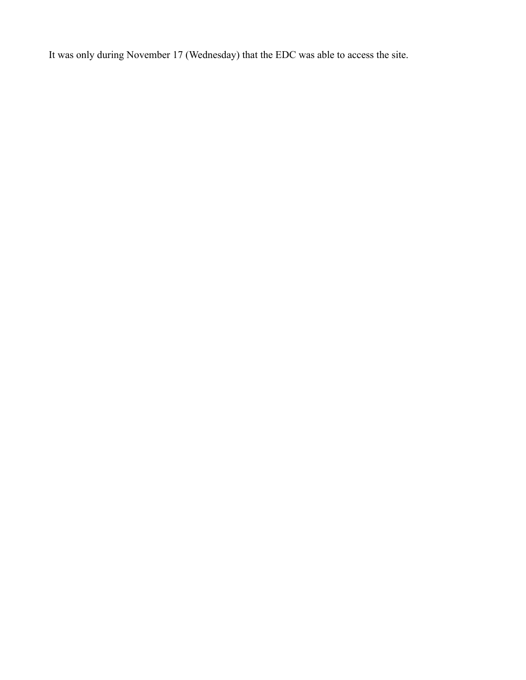It was only during November 17 (Wednesday) that the EDC was able to access the site.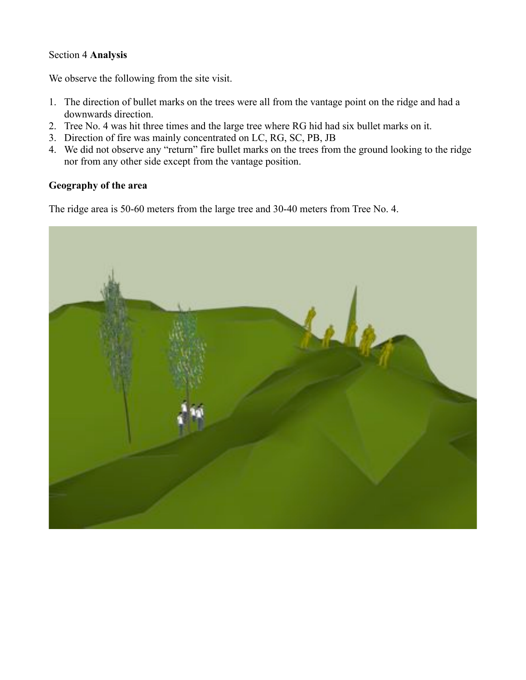#### Section 4 **Analysis**

We observe the following from the site visit.

- 1. The direction of bullet marks on the trees were all from the vantage point on the ridge and had a downwards direction.
- 2. Tree No. 4 was hit three times and the large tree where RG hid had six bullet marks on it.
- 3. Direction of fire was mainly concentrated on LC, RG, SC, PB, JB
- 4. We did not observe any "return" fire bullet marks on the trees from the ground looking to the ridge nor from any other side except from the vantage position.

## **Geography of the area**

The ridge area is 50-60 meters from the large tree and 30-40 meters from Tree No. 4.

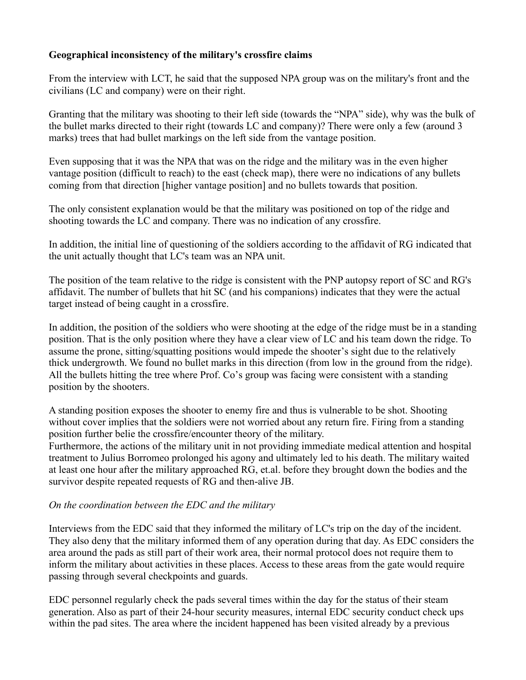#### **Geographical inconsistency of the military's crossfire claims**

From the interview with LCT, he said that the supposed NPA group was on the military's front and the civilians (LC and company) were on their right.

Granting that the military was shooting to their left side (towards the "NPA" side), why was the bulk of the bullet marks directed to their right (towards LC and company)? There were only a few (around 3 marks) trees that had bullet markings on the left side from the vantage position.

Even supposing that it was the NPA that was on the ridge and the military was in the even higher vantage position (difficult to reach) to the east (check map), there were no indications of any bullets coming from that direction [higher vantage position] and no bullets towards that position.

The only consistent explanation would be that the military was positioned on top of the ridge and shooting towards the LC and company. There was no indication of any crossfire.

In addition, the initial line of questioning of the soldiers according to the affidavit of RG indicated that the unit actually thought that LC's team was an NPA unit.

The position of the team relative to the ridge is consistent with the PNP autopsy report of SC and RG's affidavit. The number of bullets that hit SC (and his companions) indicates that they were the actual target instead of being caught in a crossfire.

In addition, the position of the soldiers who were shooting at the edge of the ridge must be in a standing position. That is the only position where they have a clear view of LC and his team down the ridge. To assume the prone, sitting/squatting positions would impede the shooter's sight due to the relatively thick undergrowth. We found no bullet marks in this direction (from low in the ground from the ridge). All the bullets hitting the tree where Prof. Co's group was facing were consistent with a standing position by the shooters.

A standing position exposes the shooter to enemy fire and thus is vulnerable to be shot. Shooting without cover implies that the soldiers were not worried about any return fire. Firing from a standing position further belie the crossfire/encounter theory of the military.

Furthermore, the actions of the military unit in not providing immediate medical attention and hospital treatment to Julius Borromeo prolonged his agony and ultimately led to his death. The military waited at least one hour after the military approached RG, et.al. before they brought down the bodies and the survivor despite repeated requests of RG and then-alive JB.

### *On the coordination between the EDC and the military*

Interviews from the EDC said that they informed the military of LC's trip on the day of the incident. They also deny that the military informed them of any operation during that day. As EDC considers the area around the pads as still part of their work area, their normal protocol does not require them to inform the military about activities in these places. Access to these areas from the gate would require passing through several checkpoints and guards.

EDC personnel regularly check the pads several times within the day for the status of their steam generation. Also as part of their 24-hour security measures, internal EDC security conduct check ups within the pad sites. The area where the incident happened has been visited already by a previous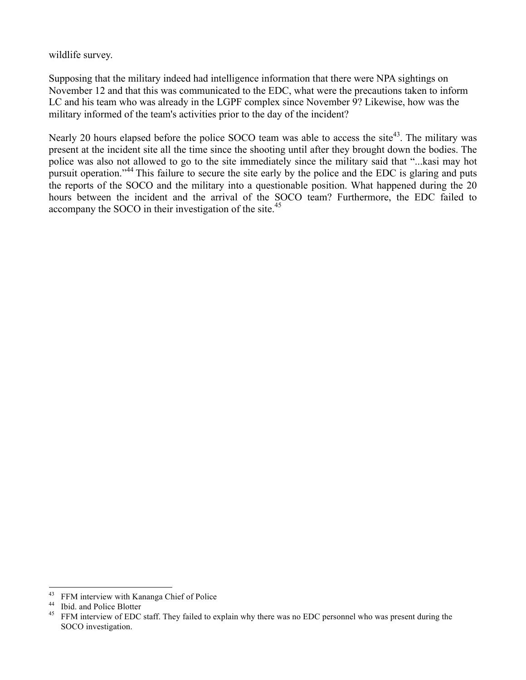wildlife survey.

Supposing that the military indeed had intelligence information that there were NPA sightings on November 12 and that this was communicated to the EDC, what were the precautions taken to inform LC and his team who was already in the LGPF complex since November 9? Likewise, how was the military informed of the team's activities prior to the day of the incident?

Nearly 20 hours elapsed before the police SOCO team was able to access the site<sup>43</sup>. The military was present at the incident site all the time since the shooting until after they brought down the bodies. The police was also not allowed to go to the site immediately since the military said that "...kasi may hot pursuit operation."<sup>44</sup> This failure to secure the site early by the police and the EDC is glaring and puts the reports of the SOCO and the military into a questionable position. What happened during the 20 hours between the incident and the arrival of the SOCO team? Furthermore, the EDC failed to accompany the SOCO in their investigation of the site.<sup>45</sup>

<sup>&</sup>lt;sup>43</sup> FFM interview with Kananga Chief of Police<br><sup>44</sup> Ibid. and Police Blotter<br><sup>45</sup> FFM interview of EDC staff. They failed to explain why there was no EDC personnel who was present during the SOCO investigation.